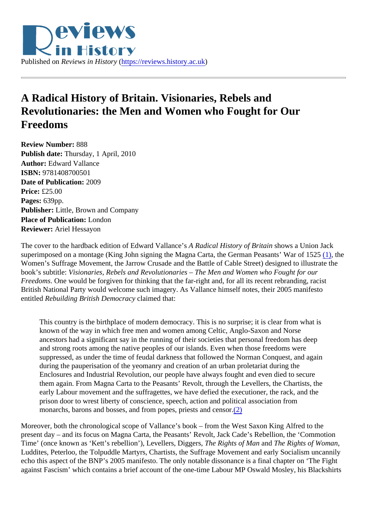<span id="page-0-0"></span>

## **A Radical History of Britain. Visionaries, Rebels and Revolutionaries: the Men and Women who Fought for Our Freedoms**

**Review Number:** 888 **Publish date:** Thursday, 1 April, 2010 **Author:** Edward Vallance **ISBN:** 9781408700501 **Date of Publication:** 2009 **Price:** £25.00 **Pages:** 639pp. **Publisher:** Little, Brown and Company **Place of Publication:** London **Reviewer:** Ariel Hessayon

The cover to the hardback edition of Edward Vallance's *A Radical History of Britain* shows a Union Jack superimposed on a montage (King John signing the Magna Carta, the German Peasants' War of 1525 [\(1\),](#page-3-0) the Women's Suffrage Movement, the Jarrow Crusade and the Battle of Cable Street) designed to illustrate the book's subtitle: *Visionaries, Rebels and Revolutionaries – The Men and Women who Fought for our Freedoms*. One would be forgiven for thinking that the far-right and, for all its recent rebranding, racist British National Party would welcome such imagery. As Vallance himself notes, their 2005 manifesto entitled *Rebuilding British Democracy* claimed that:

This country is the birthplace of modern democracy. This is no surprise; it is clear from what is known of the way in which free men and women among Celtic, Anglo-Saxon and Norse ancestors had a significant say in the running of their societies that personal freedom has deep and strong roots among the native peoples of our islands. Even when those freedoms were suppressed, as under the time of feudal darkness that followed the Norman Conquest, and again during the pauperisation of the yeomanry and creation of an urban proletariat during the Enclosures and Industrial Revolution, our people have always fought and even died to secure them again. From Magna Carta to the Peasants' Revolt, through the Levellers, the Chartists, the early Labour movement and the suffragettes, we have defied the executioner, the rack, and the prison door to wrest liberty of conscience, speech, action and political association from monarchs, barons and bosses, and from popes, priests and censor.[\(2\)](#page-3-0)

Moreover, both the chronological scope of Vallance's book – from the West Saxon King Alfred to the present day – and its focus on Magna Carta, the Peasants' Revolt, Jack Cade's Rebellion, the 'Commotion Time' (once known as 'Kett's rebellion'), Levellers, Diggers, *The Rights of Man* and *The Rights of Woman*, Luddites, Peterloo, the Tolpuddle Martyrs, Chartists, the Suffrage Movement and early Socialism uncannily echo this aspect of the BNP's 2005 manifesto. The only notable dissonance is a final chapter on 'The Fight against Fascism' which contains a brief account of the one-time Labour MP Oswald Mosley, his Blackshirts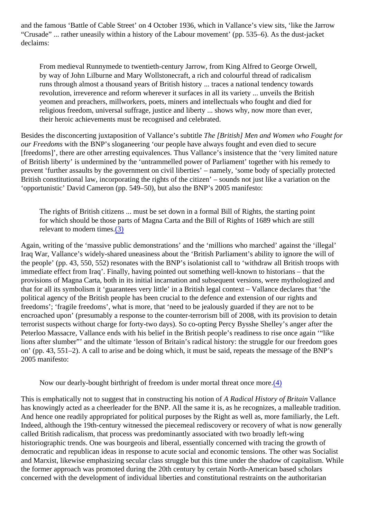<span id="page-1-0"></span>and the famous 'Battle of Cable Street' on 4 October 1936, which in Vallance's view sits, 'like the Jarrow "Crusade" ... rather uneasily within a history of the Labour movement' (pp. 535–6). As the dust-jacket declaims:

From medieval Runnymede to twentieth-century Jarrow, from King Alfred to George Orwell, by way of John Lilburne and Mary Wollstonecraft, a rich and colourful thread of radicalism runs through almost a thousand years of British history ... traces a national tendency towards revolution, irreverence and reform wherever it surfaces in all its variety ... unveils the British yeomen and preachers, millworkers, poets, miners and intellectuals who fought and died for religious freedom, universal suffrage, justice and liberty ... shows why, now more than ever, their heroic achievements must be recognised and celebrated.

Besides the disconcerting juxtaposition of Vallance's subtitle *The [British] Men and Women who Fought for our Freedoms* with the BNP's sloganeering 'our people have always fought and even died to secure [freedoms]', there are other arresting equivalences. Thus Vallance's insistence that the 'very limited nature of British liberty' is undermined by the 'untrammelled power of Parliament' together with his remedy to prevent 'further assaults by the government on civil liberties' – namely, 'some body of specially protected British constitutional law, incorporating the rights of the citizen' – sounds not just like a variation on the 'opportunistic' David Cameron (pp. 549–50), but also the BNP's 2005 manifesto:

The rights of British citizens ... must be set down in a formal Bill of Rights, the starting point for which should be those parts of Magna Carta and the Bill of Rights of 1689 which are still relevant to modern times.[\(3\)](#page-3-0)

Again, writing of the 'massive public demonstrations' and the 'millions who marched' against the 'illegal' Iraq War, Vallance's widely-shared uneasiness about the 'British Parliament's ability to ignore the will of the people' (pp. 43, 550, 552) resonates with the BNP's isolationist call to 'withdraw all British troops with immediate effect from Iraq'. Finally, having pointed out something well-known to historians – that the provisions of Magna Carta, both in its initial incarnation and subsequent versions, were mythologized and that for all its symbolism it 'guarantees very little' in a British legal context – Vallance declares that 'the political agency of the British people has been crucial to the defence and extension of our rights and freedoms'; 'fragile freedoms', what is more, that 'need to be jealously guarded if they are not to be encroached upon' (presumably a response to the counter-terrorism bill of 2008, with its provision to detain terrorist suspects without charge for forty-two days). So co-opting Percy Bysshe Shelley's anger after the Peterloo Massacre, Vallance ends with his belief in the British people's readiness to rise once again '"like lions after slumber"' and the ultimate 'lesson of Britain's radical history: the struggle for our freedom goes on' (pp. 43, 551–2). A call to arise and be doing which, it must be said, repeats the message of the BNP's 2005 manifesto:

Now our dearly-bought birthright of freedom is under mortal threat once more[.\(4\)](#page-3-0)

This is emphatically not to suggest that in constructing his notion of *A Radical History of Britain* Vallance has knowingly acted as a cheerleader for the BNP. All the same it is, as he recognizes, a malleable tradition. And hence one readily appropriated for political purposes by the Right as well as, more familiarly, the Left. Indeed, although the 19th-century witnessed the piecemeal rediscovery or recovery of what is now generally called British radicalism, that process was predominantly associated with two broadly left-wing historiographic trends. One was bourgeois and liberal, essentially concerned with tracing the growth of democratic and republican ideas in response to acute social and economic tensions. The other was Socialist and Marxist, likewise emphasizing secular class struggle but this time under the shadow of capitalism. While the former approach was promoted during the 20th century by certain North-American based scholars concerned with the development of individual liberties and constitutional restraints on the authoritarian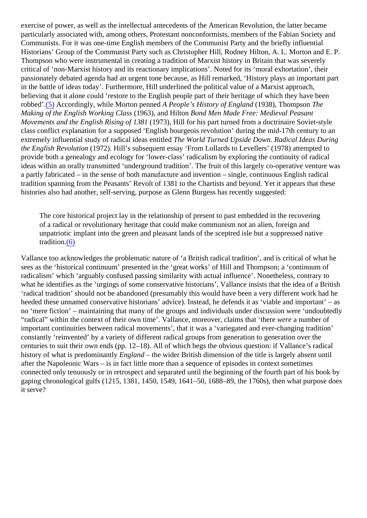<span id="page-2-0"></span>exercise of power, as well as the intellectual antecedents of the American Revolution, the latter became particularly associated with, among others, Protestant nonconformists, members of the Fabian Society and Communists. For it was one-time English members of the Communist Party and the briefly influential Historians' Group of the Communist Party such as Christopher Hill, Rodney Hilton, A. L. Morton and E. P. Thompson who were instrumental in creating a tradition of Marxist history in Britain that was severely critical of 'non-Marxist history and its reactionary implications'. Noted for its 'moral exhortation', their passionately debated agenda had an urgent tone because, as Hill remarked, 'History plays an important part in the battle of ideas today'. Furthermore, Hill underlined the political value of a Marxist approach, believing that it alone could 'restore to the English people part of their heritage of which they have been robbed'[.\(5\)](#page-3-0) Accordingly, while Morton penned *A People's History of England* (1938), Thompson *The Making of the English Working Class* (1963), and Hilton *Bond Men Made Free: Medieval Peasant Movements and the English Rising of 1381* (1973), Hill for his part turned from a doctrinaire Soviet-style class conflict explanation for a supposed 'English bourgeois revolution' during the mid-17th century to an extremely influential study of radical ideas entitled *The World Turned Upside Down. Radical Ideas During the English Revolution* (1972). Hill's subsequent essay 'From Lollards to Levellers' (1978) attempted to provide both a genealogy and ecology for 'lower-class' radicalism by exploring the continuity of radical ideas within an orally transmitted 'underground tradition'. The fruit of this largely co-operative venture was a partly fabricated – in the sense of both manufacture and invention – single, continuous English radical tradition spanning from the Peasants' Revolt of 1381 to the Chartists and beyond. Yet it appears that these histories also had another, self-serving, purpose as Glenn Burgess has recently suggested:

The core historical project lay in the relationship of present to past embedded in the recovering of a radical or revolutionary heritage that could make communism not an alien, foreign and unpatriotic implant into the green and pleasant lands of the sceptred isle but a suppressed native tradition.[\(6\)](#page-3-0)

Vallance too acknowledges the problematic nature of 'a British radical tradition', and is critical of what he sees as the 'historical continuum' presented in the 'great works' of Hill and Thompson; a 'continuum of radicalism' which 'arguably confused passing similarity with actual influence'. Nonetheless, contrary to what he identifies as the 'urgings of some conservative historians', Vallance insists that the idea of a British 'radical tradition' should not be abandoned (presumably this would have been a very different work had he heeded these unnamed conservative historians' advice). Instead, he defends it as 'viable and important' – as no 'mere fiction' – maintaining that many of the groups and individuals under discussion were 'undoubtedly "radical" within the context of their own time'. Vallance, moreover, claims that 'there *were* a number of important continuities between radical movements', that it was a 'variegated and ever-changing tradition' constantly 'reinvented' by a variety of different radical groups from generation to generation over the centuries to suit their own ends (pp. 12–18). All of which begs the obvious question: if Vallance's radical history of what is predominantly *England* – the wider British dimension of the title is largely absent until after the Napoleonic Wars – is in fact little more than a sequence of episodes in context sometimes connected only tenuously or in retrospect and separated until the beginning of the fourth part of his book by gaping chronological gulfs (1215, 1381, 1450, 1549, 1641–50, 1688–89, the 1760s), then what purpose does it serve?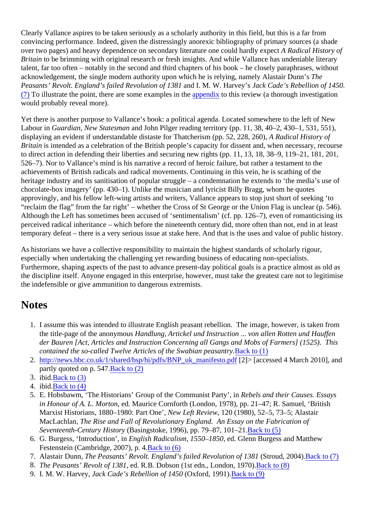<span id="page-3-0"></span>Clearly Vallance aspires to be taken seriously as a scholarly authority in this field, but this is a far from convincing performance. Indeed, given the distressingly anorexic bibliography of primary sources (a shade over two pages) and heavy dependence on secondary literature one could hardly expect *A Radical History of Britain* to be brimming with original research or fresh insights. And while Vallance has undeniable literary talent, far too often – notably in the second and third chapters of his book – he closely paraphrases, without acknowledgement, the single modern authority upon which he is relying, namely Alastair Dunn's *The Peasants' Revolt. England's failed Revolution of 1381* and I. M. W. Harvey's *Jack Cade's Rebellion of 1450*. (7) To illustrate the point, there are some examples in the [appendix](#page-4-0) to this review (a thorough investigation would probably reveal more).

Yet there is another purpose to Vallance's book: a political agenda. Located somewhere to the left of New Labour in *Guardian*, *New Statesman* and John Pilger reading territory (pp. 11, 38, 40–2, 430–1, 531, 551), displaying an evident if understandable distaste for Thatcherism (pp. 52, 228, 260), *A Radical History of Britain* is intended as a celebration of the British people's capacity for dissent and, when necessary, recourse to direct action in defending their liberties and securing new rights (pp. 11, 13, 18, 38–9, 119–21, 181, 201, 526–7). Nor to Vallance's mind is his narrative a record of heroic failure, but rather a testament to the achievements of British radicals and radical movements. Continuing in this vein, he is scathing of the heritage industry and its sanitisation of popular struggle – a condemnation he extends to 'the media's use of chocolate-box imagery' (pp. 430–1). Unlike the musician and lyricist Billy Bragg, whom he quotes approvingly, and his fellow left-wing artists and writers, Vallance appears to stop just short of seeking 'to "reclaim the flag" from the far right' – whether the Cross of St George or the Union Flag is unclear (p. 546). Although the Left has sometimes been accused of 'sentimentalism' (cf. pp. 126–7), even of romanticising its perceived radical inheritance – which before the nineteenth century did, more often than not, end in at least temporary defeat – there is a very serious issue at stake here. And that is the uses and value of public history.

As historians we have a collective responsibility to maintain the highest standards of scholarly rigour, especially when undertaking the challenging yet rewarding business of educating non-specialists. Furthermore, shaping aspects of the past to advance present-day political goals is a practice almost as old as the discipline itself. Anyone engaged in this enterprise, however, must take the greatest care not to legitimise the indefensible or give ammunition to dangerous extremists.

## **Notes**

- 1. I assume this was intended to illustrate English peasant rebellion. The image, however, is taken from the title-page of the anonymous *Handlung, Artickel und Instruction ... von allen Rotten und Hauffen der Bauren [Act, Articles and Instruction Concerning all Gangs and Mobs of Farmers] (1525). This contained the so-called Twelve Articles of the Swabian peasantry.*[Back to \(1\)](#page-0-0)
- 2. [http://news.bbc.co.uk/1/shared/bsp/hi/pdfs/BNP\\_uk\\_manifesto.pdf](http://news.bbc.co.uk/1/shared/bsp/hi/pdfs/BNP_uk_manifesto.pdf) [2]> [accessed 4 March 2010], and partly quoted on p. 547.[Back to \(2\)](#page-0-0)
- 3. ibid.[Back to \(3\)](#page-1-0)
- 4. ibid.[Back to \(4\)](#page-1-0)
- 5. E. Hobsbawm, 'The Historians' Group of the Communist Party', in *Rebels and their Causes. Essays in Honour of A. L. Morton*, ed. Maurice Cornforth (London, 1978), pp. 21–47; R. Samuel, 'British Marxist Historians, 1880–1980: Part One', *New Left Review*, 120 (1980), 52–5, 73–5; Alastair MacLachlan, *The Rise and Fall of Revolutionary England. An Essay on the Fabrication of Seventeenth-Century History* (Basingstoke, 1996), pp. 79–87, 101–21.[Back to \(5\)](#page-2-0)
- 6. G. Burgess, 'Introduction', in *English Radicalism, 1550–1850*, ed. Glenn Burgess and Matthew Festenstein (Cambridge, 2007), p. 4[.Back to \(6\)](#page-2-0)
- 7. Alastair Dunn, *The Peasants' Revolt. England's failed Revolution of 1381* (Stroud, 2004).Back to (7)
- 8. *The Peasants' Revolt of 1381*, ed. R.B. Dobson (1st edn., London, 1970).[Back to \(8\)](#page-4-0)
- 9. I. M. W. Harvey, *Jack Cade's Rebellion of 1450* (Oxford, 1991)[.Back to \(9\)](#page-6-0)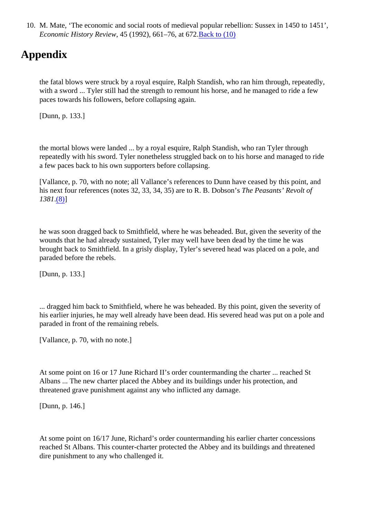<span id="page-4-0"></span>10. M. Mate, 'The economic and social roots of medieval popular rebellion: Sussex in 1450 to 1451', *Economic History Review*, 45 (1992), 661–76, at 672[.Back to \(10\)](#page-6-0)

## **Appendix**

the fatal blows were struck by a royal esquire, Ralph Standish, who ran him through, repeatedly, with a sword ... Tyler still had the strength to remount his horse, and he managed to ride a few paces towards his followers, before collapsing again.

[Dunn, p. 133.]

the mortal blows were landed ... by a royal esquire, Ralph Standish, who ran Tyler through repeatedly with his sword. Tyler nonetheless struggled back on to his horse and managed to ride a few paces back to his own supporters before collapsing.

[Vallance, p. 70, with no note; all Vallance's references to Dunn have ceased by this point, and his next four references (notes 32, 33, 34, 35) are to R. B. Dobson's *The Peasants' Revolt of 1381*[.\(8\)](#page-3-0)]

he was soon dragged back to Smithfield, where he was beheaded. But, given the severity of the wounds that he had already sustained, Tyler may well have been dead by the time he was brought back to Smithfield. In a grisly display, Tyler's severed head was placed on a pole, and paraded before the rebels.

[Dunn, p. 133.]

... dragged him back to Smithfield, where he was beheaded. By this point, given the severity of his earlier injuries, he may well already have been dead. His severed head was put on a pole and paraded in front of the remaining rebels.

[Vallance, p. 70, with no note.]

At some point on 16 or 17 June Richard II's order countermanding the charter ... reached St Albans ... The new charter placed the Abbey and its buildings under his protection, and threatened grave punishment against any who inflicted any damage.

[Dunn, p. 146.]

At some point on 16/17 June, Richard's order countermanding his earlier charter concessions reached St Albans. This counter-charter protected the Abbey and its buildings and threatened dire punishment to any who challenged it.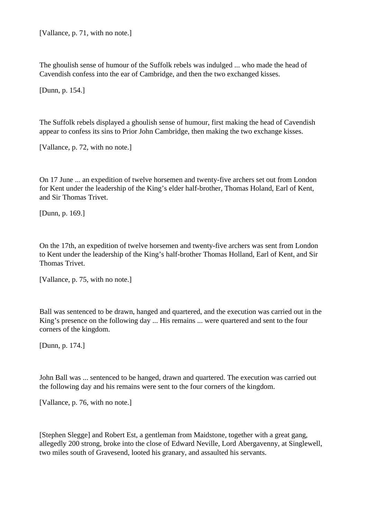[Vallance, p. 71, with no note.]

The ghoulish sense of humour of the Suffolk rebels was indulged ... who made the head of Cavendish confess into the ear of Cambridge, and then the two exchanged kisses.

[Dunn, p. 154.]

The Suffolk rebels displayed a ghoulish sense of humour, first making the head of Cavendish appear to confess its sins to Prior John Cambridge, then making the two exchange kisses.

[Vallance, p. 72, with no note.]

On 17 June ... an expedition of twelve horsemen and twenty-five archers set out from London for Kent under the leadership of the King's elder half-brother, Thomas Holand, Earl of Kent, and Sir Thomas Trivet.

[Dunn, p. 169.]

On the 17th, an expedition of twelve horsemen and twenty-five archers was sent from London to Kent under the leadership of the King's half-brother Thomas Holland, Earl of Kent, and Sir Thomas Trivet.

[Vallance, p. 75, with no note.]

Ball was sentenced to be drawn, hanged and quartered, and the execution was carried out in the King's presence on the following day ... His remains ... were quartered and sent to the four corners of the kingdom.

[Dunn, p. 174.]

John Ball was ... sentenced to be hanged, drawn and quartered. The execution was carried out the following day and his remains were sent to the four corners of the kingdom.

[Vallance, p. 76, with no note.]

[Stephen Slegge] and Robert Est, a gentleman from Maidstone, together with a great gang, allegedly 200 strong, broke into the close of Edward Neville, Lord Abergavenny, at Singlewell, two miles south of Gravesend, looted his granary, and assaulted his servants.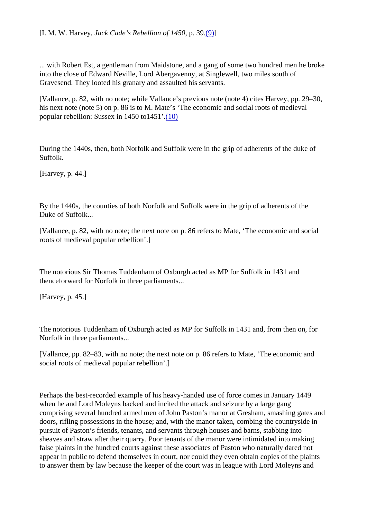<span id="page-6-0"></span>... with Robert Est, a gentleman from Maidstone, and a gang of some two hundred men he broke into the close of Edward Neville, Lord Abergavenny, at Singlewell, two miles south of Gravesend. They looted his granary and assaulted his servants.

[Vallance, p. 82, with no note; while Vallance's previous note (note 4) cites Harvey, pp. 29–30, his next note (note 5) on p. 86 is to M. Mate's 'The economic and social roots of medieval popular rebellion: Sussex in 1450 to1451'.[\(10\)](#page-4-0)

During the 1440s, then, both Norfolk and Suffolk were in the grip of adherents of the duke of Suffolk.

[Harvey, p. 44.]

By the 1440s, the counties of both Norfolk and Suffolk were in the grip of adherents of the Duke of Suffolk...

[Vallance, p. 82, with no note; the next note on p. 86 refers to Mate, 'The economic and social roots of medieval popular rebellion'.]

The notorious Sir Thomas Tuddenham of Oxburgh acted as MP for Suffolk in 1431 and thenceforward for Norfolk in three parliaments...

[Harvey, p. 45.]

The notorious Tuddenham of Oxburgh acted as MP for Suffolk in 1431 and, from then on, for Norfolk in three parliaments...

[Vallance, pp. 82–83, with no note; the next note on p. 86 refers to Mate, 'The economic and social roots of medieval popular rebellion'.]

Perhaps the best-recorded example of his heavy-handed use of force comes in January 1449 when he and Lord Moleyns backed and incited the attack and seizure by a large gang comprising several hundred armed men of John Paston's manor at Gresham, smashing gates and doors, rifling possessions in the house; and, with the manor taken, combing the countryside in pursuit of Paston's friends, tenants, and servants through houses and barns, stabbing into sheaves and straw after their quarry. Poor tenants of the manor were intimidated into making false plaints in the hundred courts against these associates of Paston who naturally dared not appear in public to defend themselves in court, nor could they even obtain copies of the plaints to answer them by law because the keeper of the court was in league with Lord Moleyns and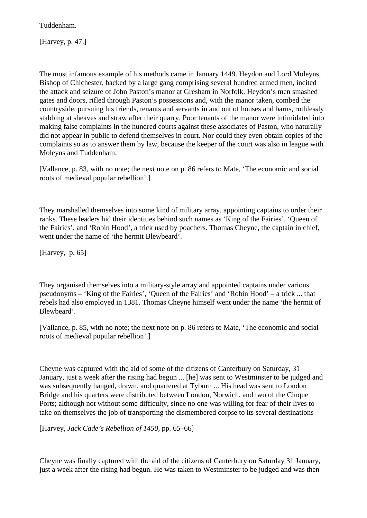Tuddenham.

[Harvey, p. 47.]

The most infamous example of his methods came in January 1449. Heydon and Lord Moleyns, Bishop of Chichester, backed by a large gang comprising several hundred armed men, incited the attack and seizure of John Paston's manor at Gresham in Norfolk. Heydon's men smashed gates and doors, rifled through Paston's possessions and, with the manor taken, combed the countryside, pursuing his friends, tenants and servants in and out of houses and barns, ruthlessly stabbing at sheaves and straw after their quarry. Poor tenants of the manor were intimidated into making false complaints in the hundred courts against these associates of Paston, who naturally did not appear in public to defend themselves in court. Nor could they even obtain copies of the complaints so as to answer them by law, because the keeper of the court was also in league with Moleyns and Tuddenham.

[Vallance, p. 83, with no note; the next note on p. 86 refers to Mate, 'The economic and social roots of medieval popular rebellion'.]

They marshalled themselves into some kind of military array, appointing captains to order their ranks. These leaders hid their identities behind such names as 'King of the Fairies', 'Queen of the Fairies', and 'Robin Hood', a trick used by poachers. Thomas Cheyne, the captain in chief, went under the name of 'the hermit Blewbeard'.

[Harvey, p. 65]

They organised themselves into a military-style array and appointed captains under various pseudonyms – 'King of the Fairies', 'Queen of the Fairies' and 'Robin Hood' – a trick ... that rebels had also employed in 1381. Thomas Cheyne himself went under the name 'the hermit of Blewbeard'.

[Vallance, p. 85, with no note; the next note on p. 86 refers to Mate, 'The economic and social roots of medieval popular rebellion'.]

Cheyne was captured with the aid of some of the citizens of Canterbury on Saturday, 31 January, just a week after the rising had begun ... [he] was sent to Westminster to be judged and was subsequently hanged, drawn, and quartered at Tyburn ... His head was sent to London Bridge and his quarters were distributed between London, Norwich, and two of the Cinque Ports; although not without some difficulty, since no one was willing for fear of their lives to take on themselves the job of transporting the dismembered corpse to its several destinations

[Harvey, *Jack Cade's Rebellion of 1450*, pp. 65–66]

Cheyne was finally captured with the aid of the citizens of Canterbury on Saturday 31 January, just a week after the rising had begun. He was taken to Westminster to be judged and was then